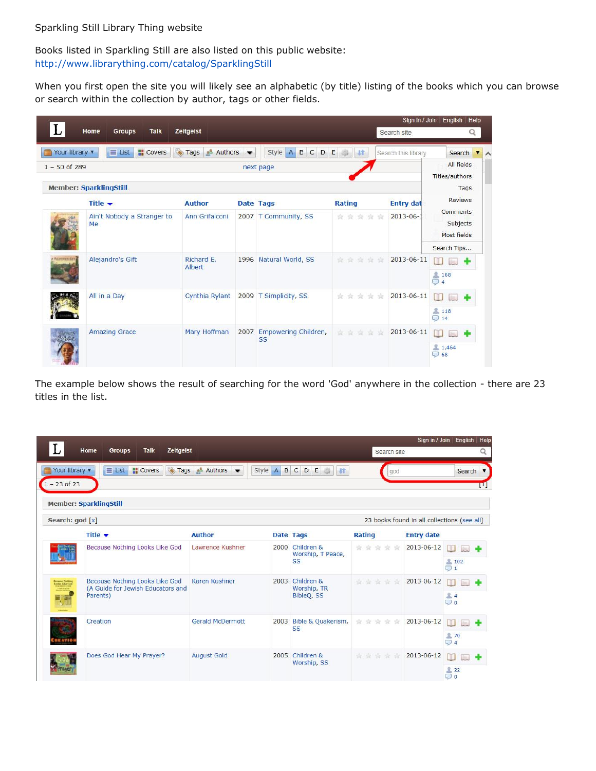Books listed in Sparkling Still are also listed on this public website: <http://www.librarything.com/catalog/SparklingStill>

When you first open the site you will likely see an alphabetic (by title) listing of the books which you can browse or search within the collection by author, tags or other fields.

|                  |                                         |                        |                       |                                              |               | Sign in / Join      | Help<br>English                     |
|------------------|-----------------------------------------|------------------------|-----------------------|----------------------------------------------|---------------|---------------------|-------------------------------------|
|                  | Home<br><b>Talk</b><br><b>Groups</b>    | Zeitgeist              |                       |                                              |               | Search site         | Q                                   |
| Your library v   | <b>H</b> Covers<br>$\equiv$ List        | <b>Tags</b><br>Authors |                       | $\mathtt{C}$<br><b>Style</b><br>DE<br>A<br>B | 址             | Search this library | Search<br>$\overline{\mathbf{v}}$   |
| $1 - 50$ of 289  |                                         |                        |                       | next page                                    |               |                     | All fields                          |
|                  | <b>Member: SparklingStill</b>           |                        |                       |                                              |               |                     | Titles/authors<br>Tags              |
|                  | Title $\blacktriangledown$              | <b>Author</b>          |                       | Date Tags                                    | <b>Rating</b> | <b>Entry dat</b>    | <b>Reviews</b>                      |
|                  | Ain't Nobody a Stranger to<br><b>Me</b> | Ann Grifalconi         |                       | 2007 T Community, SS                         | *****         | $2013 - 06 -$       | Comments<br>Subjects<br>Most fields |
|                  |                                         |                        |                       |                                              |               |                     | Search Tips                         |
| <b>PARMYLCUT</b> | Alejandro's Gift                        | Richard E.<br>Albert   |                       | 1996 Natural World, SS                       | 京京京京京         | 2013-06-11          | m<br>L                              |
|                  |                                         |                        |                       |                                              |               |                     | 168<br>$\bigcirc$ 4                 |
|                  | All in a Day                            | Cynthia Rylant         | 2009 T Simplicity, SS |                                              | 食食食食食         | 2013-06-11          | m<br>(inc.)                         |
|                  |                                         |                        |                       |                                              |               |                     | <b>A</b> 118<br>$\bigcirc$ 14       |
| <b>Walke</b>     | <b>Amazing Grace</b>                    | Mary Hoffman           |                       | 2007 Empowering Children,<br><b>SS</b>       | 宣言宣言宣         | 2013-06-11          | m<br>L.                             |
|                  |                                         |                        |                       |                                              |               |                     | 1,464<br>$\bigcirc$ 68              |

The example below shows the result of searching for the word 'God' anywhere in the collection - there are 23 titles in the list.

|                                  | Home<br>Groups<br><b>Talk</b><br><b>Zeitgeist</b>                               |                                            |             |                                                                                                                                                                                                                                                                                                                                                                 | Search site   |                                             | Sign in / Join English Help                 |
|----------------------------------|---------------------------------------------------------------------------------|--------------------------------------------|-------------|-----------------------------------------------------------------------------------------------------------------------------------------------------------------------------------------------------------------------------------------------------------------------------------------------------------------------------------------------------------------|---------------|---------------------------------------------|---------------------------------------------|
| Your library v<br>$1 - 23$ of 23 | <b>Tags</b><br><b>II</b> Covers<br>$\equiv$ List                                | $\triangle^2$ Authors $\blacktriangledown$ | AB<br>Style | CDE<br>$\begin{picture}(20,20) \put(0,0){\line(1,0){10}} \put(15,0){\line(1,0){10}} \put(15,0){\line(1,0){10}} \put(15,0){\line(1,0){10}} \put(15,0){\line(1,0){10}} \put(15,0){\line(1,0){10}} \put(15,0){\line(1,0){10}} \put(15,0){\line(1,0){10}} \put(15,0){\line(1,0){10}} \put(15,0){\line(1,0){10}} \put(15,0){\line(1,0){10}} \put(15,0){\line(1$<br>J | god           |                                             | Search v<br>п                               |
|                                  | <b>Member: SparklingStill</b>                                                   |                                            |             |                                                                                                                                                                                                                                                                                                                                                                 |               |                                             |                                             |
| Search: god [x]                  |                                                                                 |                                            |             |                                                                                                                                                                                                                                                                                                                                                                 |               | 23 books found in all collections (see all) |                                             |
|                                  | Title $\blacktriangledown$                                                      | <b>Author</b>                              |             | <b>Date Tags</b>                                                                                                                                                                                                                                                                                                                                                | <b>Rating</b> | <b>Entry date</b>                           |                                             |
|                                  | Because Nothing Looks Like God                                                  | Lawrence Kushner                           |             | 2000 Children &<br>Worship, T Peace,<br><b>SS</b>                                                                                                                                                                                                                                                                                                               | *****         | 2013-06-12                                  | $\mathbb{R}$<br>Sec.<br>102<br>$\bigcirc$ 1 |
| <b>Designation</b><br><b>A</b>   | Because Nothing Looks Like God<br>(A Guide for Jewish Educators and<br>Parents) | Karen Kushner                              | 2003        | Children &<br>Worship, TR<br>BibleQ, SS                                                                                                                                                                                                                                                                                                                         | *****         | 2013-06-12                                  | m<br><b>Exit</b><br>24<br>$\bigcirc$ o      |
| <b>ATIC</b>                      | Creation                                                                        | <b>Gerald McDermott</b>                    | 2003        | Bible & Quakerism,<br><b>SS</b>                                                                                                                                                                                                                                                                                                                                 | *****         | 2013-06-12                                  | m<br>lis.<br><b>270</b><br>$\bigcirc$ 4     |
|                                  | Does God Hear My Prayer?                                                        | <b>August Gold</b>                         |             | 2005 Children &<br>Worship, SS                                                                                                                                                                                                                                                                                                                                  | 宣言宣言          | 2013-06-12                                  | m<br>北<br>22<br>$\circ$<br>$\circ$          |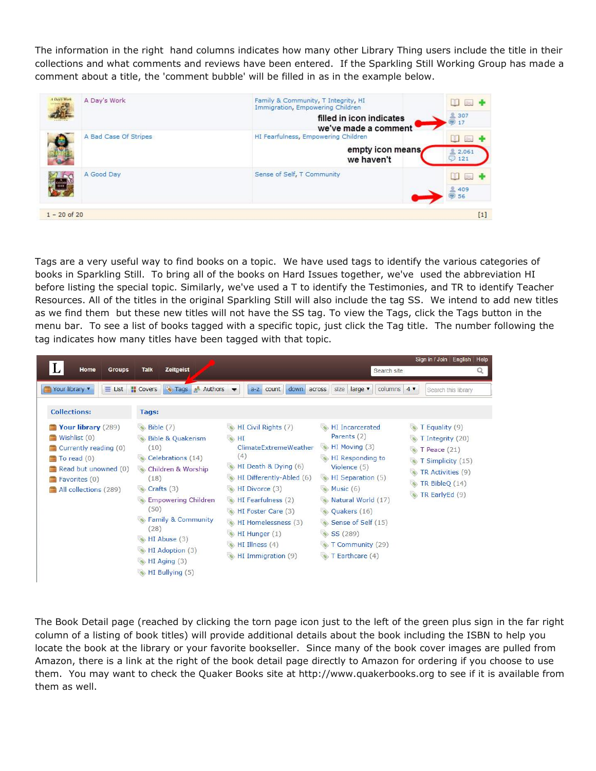The information in the right hand columns indicates how many other Library Thing users include the title in their collections and what comments and reviews have been entered. If the Sparkling Still Working Group has made a comment about a title, the 'comment bubble' will be filled in as in the example below.

| A Day's Work   | A Day's Work          | Family & Community, T Integrity, HI<br>Immigration, Empowering Children<br>filled in icon indicates<br>we've made a comment | big.<br><b>1307</b><br>$\odot$ 17 |
|----------------|-----------------------|-----------------------------------------------------------------------------------------------------------------------------|-----------------------------------|
|                | A Bad Case Of Stripes | HI Fearfulness, Empowering Children<br>empty icon means<br>we haven't                                                       | Jim.<br><b>鱼 2.061</b><br>$O$ 121 |
|                | A Good Day            | Sense of Self, T Community                                                                                                  | b.<br><b>1409</b><br>56           |
| $1 - 20$ of 20 |                       |                                                                                                                             | $[1]$                             |

Tags are a very useful way to find books on a topic. We have used tags to identify the various categories of books in Sparkling Still. To bring all of the books on Hard Issues together, we've used the abbreviation HI before listing the special topic. Similarly, we've used a T to identify the Testimonies, and TR to identify Teacher Resources. All of the titles in the original Sparkling Still will also include the tag SS. We intend to add new titles as we find them but these new titles will not have the SS tag. To view the Tags, click the Tags button in the menu bar. To see a list of books tagged with a specific topic, just click the Tag title. The number following the tag indicates how many titles have been tagged with that topic.

|                                                                                                                                                                                         |                                                                                                                                                                                                                                                                                                 |                                                                                                                                                                                                                                                               |                                                                                                                                                                                                                                                        | Sign in / Join   English   Help                                                                                                              |
|-----------------------------------------------------------------------------------------------------------------------------------------------------------------------------------------|-------------------------------------------------------------------------------------------------------------------------------------------------------------------------------------------------------------------------------------------------------------------------------------------------|---------------------------------------------------------------------------------------------------------------------------------------------------------------------------------------------------------------------------------------------------------------|--------------------------------------------------------------------------------------------------------------------------------------------------------------------------------------------------------------------------------------------------------|----------------------------------------------------------------------------------------------------------------------------------------------|
| Home<br><b>Groups</b>                                                                                                                                                                   | <b>Talk</b><br><b>Zeitgeist</b>                                                                                                                                                                                                                                                                 |                                                                                                                                                                                                                                                               | Search site                                                                                                                                                                                                                                            | Q                                                                                                                                            |
| Your library v<br>$\equiv$ List                                                                                                                                                         | Tags <b>Authors</b><br><b>Covers</b>                                                                                                                                                                                                                                                            | down<br>$a-z$<br>count                                                                                                                                                                                                                                        | across<br>size<br>large v<br>columns $4 \blacktriangledown$                                                                                                                                                                                            | Search this library                                                                                                                          |
| <b>Collections:</b>                                                                                                                                                                     | Tags:                                                                                                                                                                                                                                                                                           |                                                                                                                                                                                                                                                               |                                                                                                                                                                                                                                                        |                                                                                                                                              |
| Your library (289)<br>$\blacksquare$ Wishlist $(0)$<br>Currently reading (0)<br>$\Box$ To read $(0)$<br>Read but unowned (0)<br>$\blacksquare$ Favorites $(0)$<br>All collections (289) | $\bullet$ Bible (7)<br><b>Bible &amp; Quakerism</b><br>(10)<br>Celebrations (14)<br>Children & Worship<br>(18)<br>Crafts (3)<br>S.<br><b>Empowering Children</b><br>(50)<br><b>Family &amp; Community</b><br>(28)<br>$HI$ Abuse $(3)$<br>HI Adoption (3)<br>$HI$ Aging $(3)$<br>HI Bullying (5) | HI Civil Rights (7)<br>HI<br>ClimateFxtremeWeather<br>(4)<br>HI Death & Dying (6)<br>HI Differently-Abled (6)<br>HI Divorce (3)<br>HI Fearfulness (2)<br>HI Foster Care (3)<br>HI Homelessness (3)<br>HI Hunger (1)<br>HI Illness $(4)$<br>HI Immigration (9) | HI Incarcerated<br>Parents (2)<br>HI Moving (3)<br><b>HI</b> Responding to<br>Violence (5)<br>HI Separation (5)<br>Music $(6)$<br>Natural World (17)<br>Quakers (16)<br>Sense of Self (15)<br>SS (289)<br>T Community (29)<br><b>T</b> Earthcare $(4)$ | T Equality (9)<br>T Integrity (20)<br>$\bullet$ T Peace (21)<br>T Simplicity (15)<br>TR Activities (9)<br>TR BibleQ $(14)$<br>TR EarlyEd (9) |

The Book Detail page (reached by clicking the torn page icon just to the left of the green plus sign in the far right column of a listing of book titles) will provide additional details about the book including the ISBN to help you locate the book at the library or your favorite bookseller. Since many of the book cover images are pulled from Amazon, there is a link at the right of the book detail page directly to Amazon for ordering if you choose to use them. You may want to check the Quaker Books site at http://www.quakerbooks.org to see if it is available from them as well.